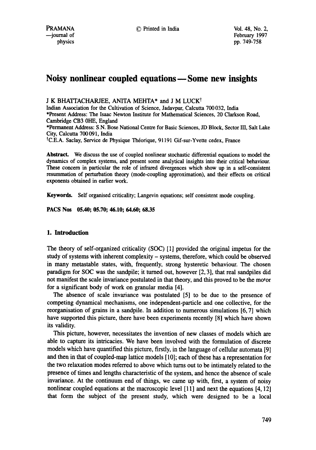# **Noisy nonlinear coupled equations--Some new insights**

# J K BHATTACHARJEE, ANITA MEHTA\* and J M LUCK<sup>†</sup>

Indian Association for the Cultivation of Science, Jadavpur, Calcutta 700 032, India \*Present Address: The Isaac Newton Institute for Mathematical Sciences, 20 Clarkson Road, Cambridge CB3 0HE, England

\*Permanent Address: S.N. Bose National Centre for Basic Sciences, JD Block, Sector III, Salt Lake City, Calcutta 700091, India

<sup>†</sup>C.E.A. Saclay, Service de Physique Théorique, 91191 Gif-sur-Yvette cedex, France

**Abstract.** We discuss the use of coupled nonlinear stochastic differential equations to model the dynamics of complex systems, and present some analytical insights into their critical behaviour. These concern in particular the role of infrared divergences which show up in a self-consistent resununation of perturbation theory (mode-coupling approximation), and their effects on critical exponents obtained in earlier work.

Keywords. Self organised criticality; Langevin equations; self consistent mode coupling.

**PACS Nos 05.40; 05.70; 46.10; 64.60; 68.35** 

# **1. Introduction**

The theory of self-organized criticality (SOC) [1] provided the original impetus for the study of systems with inherent complexity - systems, therefore, which could be observed in many metastable states, with, frequently, strong hysteretic behaviour. The chosen paradigm for SOC was the sandpile; it turned out, however [2, 3], that real sandpiles did not manifest the scale invariance postulated in that theory, and this proved to be the motor for a significant body of work on granular media [4].

The absence of scale invariance was postulated [5] to be due to the presence of competing dynamical mechanisms, one independent-particle and one collective, for the reorganisation of grains in a sandpile. In addition to numerous simulations [6, 7] which have supported this picture, there have been experiments recently [8] which have shown **its** validity.

This picture, however, necessitates the invention of new classes of models which are able to capture its intricacies. We have been involved with the formulation of discrete models which have quantified this picture, firstly, in the language of cellular automata [9] and then in that of coupled-map lattice models [10]; each of these has a representation for the two relaxation modes referred to above which turns out to be intimately related to the presence of times and lengths characteristic of the system, and hence the absence of scale invariance. At the continuum end of things, we came up with, first, a system of noisy nonlinear coupled equations at the macroscopic level [11] and next the equations [4, 12] that form the subject of the present study, which were designed to be a local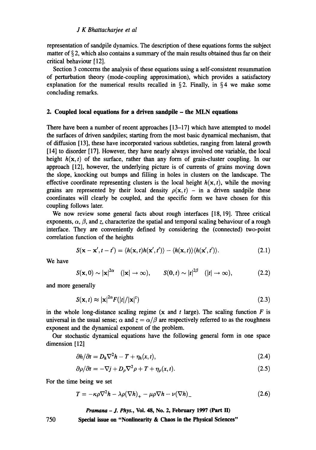representation of sandpile dynamics. The description of these equations forms the subject matter of § 2, which also contains a summary of the main results obtained thus far on their critical behaviour [12].

Section 3 concerns the analysis of these equations using a self-consistent resummation of perturbation theory (mode-coupling approximation), which provides a satisfactory explanation for the numerical results recalled in § 2. Finally, in §4 we make some concluding remarks.

## **2. Coupled local equations for a driven sandpile - the MLN equations**

There have been a number of recent approaches [13-17] which have attempted to model the surfaces of driven sandpiles; starting from the most basic dynamical mechanism, that of diffusion [13], these have incorporated various subtleties, ranging from lateral growth [14] to disorder [17]. However, they have nearly always involved one variable, the local height  $h(x, t)$  of the surface, rather than any form of grain-cluster coupling. In our approach [12], however, the underlying picture is of currents of grains moving down the slope, knocking out bumps and filling in holes in clusters on the landscape. The effective coordinate representing clusters is the local height  $h(x, t)$ , while the moving grains are represented by their local density  $\rho(\mathbf{x}, t)$  – in a driven sandpile these coordinates will clearly be coupled, and the specific form we have chosen for this coupling follows later.

We now review some general facts about rough interfaces [18, 19]. Three critical exponents,  $\alpha$ ,  $\beta$ , and z, characterize the spatial and temporal scaling behaviour of a rough interface. They are conveniently defined by considering the (connected) two-point correlation function of the heights

$$
S(\mathbf{x} - \mathbf{x}', t - t') = \langle h(\mathbf{x}, t)h(\mathbf{x}', t') \rangle - \langle h(\mathbf{x}, t) \rangle \langle h(\mathbf{x}', t') \rangle. \tag{2.1}
$$

We have

$$
S(\mathbf{x},0) \sim |\mathbf{x}|^{2\alpha} \quad (|\mathbf{x}| \to \infty), \qquad S(0,t) \sim |t|^{2\beta} \quad (|t| \to \infty), \tag{2.2}
$$

and more generally

$$
S(\mathbf{x},t) \approx |\mathbf{x}|^{2\alpha} F(|t|/|\mathbf{x}|^2)
$$
\n(2.3)

in the whole long-distance scaling regime  $(x \text{ and } t \text{ large})$ . The scaling function F is universal in the usual sense;  $\alpha$  and  $z = \alpha/\beta$  are respectively referred to as the roughness exponent and the dynamical exponent of the problem.

Our stochastic dynamical equations have the following general form in one space dimension [12]

$$
\frac{\partial h}{\partial t} = D_h \nabla^2 h - T + \eta_h(x, t), \qquad (2.4)
$$

$$
\partial \rho / \partial t = -\nabla j + D_{\rho} \nabla^2 \rho + T + \eta_{\rho}(x, t). \tag{2.5}
$$

For the time being we set

$$
T = -\kappa \rho \nabla^2 h - \lambda \rho (\nabla h)_+ - \mu \rho \nabla h - \nu (\nabla h)_-\tag{2.6}
$$

*Pramana - J. Phys.,* **Vol. 48, No. 2, February 1997 (Part lI)** 

**Special issue on "Nonlinearity & Chaos in the Physical Sciences"** 

750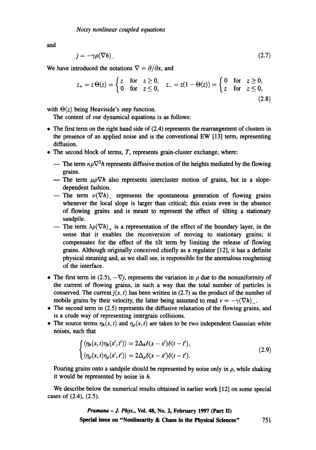and

$$
j = -\gamma \rho (\nabla h) \tag{2.7}
$$

We have introduced the notations  $\nabla = \partial/\partial x$ , and

$$
z_{+} = z \Theta(z) = \begin{cases} z & \text{for } z \ge 0, \\ 0 & \text{for } z \le 0, \end{cases} \quad z_{-} = z(1 - \Theta(z)) = \begin{cases} 0 & \text{for } z \ge 0, \\ z & \text{for } z \le 0, \end{cases}
$$
(2.8)

with  $\Theta(z)$  being Heaviside's step function.

The content of our dynamical equations is as follows:

- The first term on the right hand side of (2.4) represents the rearrangement of clusters in the presence of an applied noise and is the conventional EW [13] term, representing diffusion.
- The second block of terms, T, represents grain-cluster exchange, where:
	- -- The term  $\kappa \rho \nabla^2 h$  represents diffusive motion of the heights mediated by the flowing grains.
	- -- The term  $\mu \rho \nabla h$  also represents intercluster motion of grains, but in a slopedependent fashion.
	- -- The term  $\nu(\nabla h)$  represents the spontaneous generation of flowing grains whenever the local slope is larger than critical; this exists even in the absence of flowing grains and is meant to represent the effect of tilting a stationary sandpile.
	- -- The term  $\lambda \rho (\nabla h)_+$  is a representation of the effect of the boundary layer, in the sense that it enables the reconversion of moving to stationary grains; it compensates for the effect of the tilt term by limiting the release of flowing grains. Although originally conceived chiefly as a regulator [12], it has a definite physical meaning and, as we shall see, is responsible for the anomalous roughening of the interface.
- The first term in (2.5),  $-\nabla j$ , represents the variation in  $\rho$  due to the nonuniformity of the current of flowing grains, in such a way that the total number of particles is conserved. The current  $j(x, t)$  has been written in (2.7) as the product of the number of mobile grains by their velocity, the latter being assumed to read  $v = -\gamma(\nabla h)$ .
- The second term in (2.5) represents the diffusive relaxation of the flowing grains, and is a crude way of representing intergrain collisions.
- The source terms  $\eta_h(x, t)$  and  $\eta_\rho(x, t)$  are taken to be two independent Gaussian white noises, such that

$$
\begin{cases}\n\langle \eta_h(x,t)\eta_h(x',t')\rangle = 2\Delta_h \delta(x-x')\delta(t-t'),\\ \n\langle \eta_\rho(x,t)\eta_\rho(x',t')\rangle = 2\Delta_\rho \delta(x-x')\delta(t-t').\n\end{cases}
$$
\n(2.9)

Pouring grains onto a sandpile should be represented by noise only in  $\rho$ , while shaking it would be represented by noise in h.

We describe below the numerical results obtained in earlier work [12] on some special cases of (2.4), (2.5).

> *Pramana - .L Phys.,* **Vol. 48, No. 2, February 1997 (Part H) Special issue on "Nonlinearity & Chaos in the Physical Sciences"** 751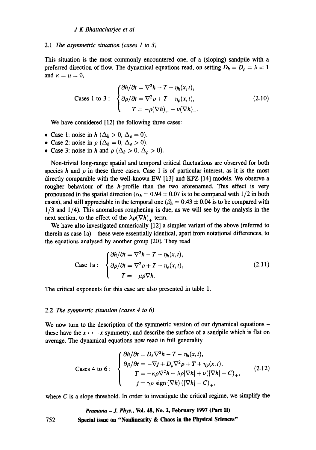#### *2.1 The asymmetric situation (cases 1 to 3)*

This situation is the most commonly encountered one, of a (sloping) sandpile with a preferred direction of flow. The dynamical equations read, on setting  $D_h = D_\rho = \lambda = 1$ and  $\kappa = \mu = 0$ ,

Cases 1 to 3:

\n
$$
\begin{cases}\n\frac{\partial h}{\partial t} = \nabla^2 h - T + \eta_h(x, t), \\
\frac{\partial \rho}{\partial t} = \nabla^2 \rho + T + \eta_\rho(x, t), \\
T = -\rho(\nabla h)_+ - \nu(\nabla h)_-\n\end{cases}
$$
\n(2.10)

We have considered [12] the following three cases:

- Case 1: noise in  $h$  ( $\Delta_h > 0$ ,  $\Delta_p = 0$ ).
- Case 2: noise in  $\rho$  ( $\Delta_h = 0$ ,  $\Delta_o > 0$ ).
- Case 3: noise in h and  $\rho$  ( $\Delta_h > 0$ ,  $\Delta_\rho > 0$ ).

Non-trivial long-range spatial and temporal critical fluctuations are observed for both species h and  $\rho$  in these three cases. Case 1 is of particular interest, as it is the most directly comparable with the well-known EW [13] and KPZ [14] models. We observe a rougher behaviour of the *h*-profile than the two aforenamed. This effect is very pronounced in the spatial direction ( $\alpha_h = 0.94 \pm 0.07$  is to be compared with  $1/2$  in both cases), and still appreciable in the temporal one ( $\beta_h = 0.43 \pm 0.04$  is to be compared with 1/3 and 1/4). This anomalous roughening is due, as we will see by the analysis in the next section, to the effect of the  $\lambda \rho (\nabla h)_+$  term.

We have also investigated numerically [12] a simpler variant of the above (referred to therein as case la) - these were essentially identical, apart from notational differences, to the equations analysed by another group [20]. They read

Case 1a: 
$$
\begin{cases} \frac{\partial h}{\partial t} = \nabla^2 h - T + \eta_h(x, t), \\ \frac{\partial \rho}{\partial t} = \nabla^2 \rho + T + \eta_\rho(x, t), \\ T = -\mu \rho \nabla h. \end{cases}
$$
 (2.11)

The critical exponents for this case are also presented in table 1.

#### 2.2 The *symmetric situation (cases 4 to 6)*

We now turn to the description of the symmetric version of our dynamical equations – these have the  $x \leftrightarrow -x$  symmetry, and describe the surface of a sandpile which is flat on average. The dynamical equations now read in full generality

Case 4 to 6:

\n
$$
\begin{cases}\n\frac{\partial h}{\partial t} = D_h \nabla^2 h - T + \eta_h(x, t), \\
\frac{\partial \rho}{\partial t} = -\nabla j + D_\rho \nabla^2 \rho + T + \eta_\rho(x, t), \\
T = -\kappa \rho \nabla^2 h - \lambda \rho |\nabla h| + \nu (|\nabla h| - C)_+, \\
j = \gamma \rho \text{ sign } (\nabla h) \left( |\nabla h| - C \right)_+, \n\end{cases}
$$
\n(2.12)

where  $C$  is a slope threshold. In order to investigate the critical regime, we simplify the

752 *Pramana - J. Phys.,* **Vol. 48, No. 2, February 1997 (Part ID Special issue on "Nonlinearity & Chaos in the Physical Sciences"**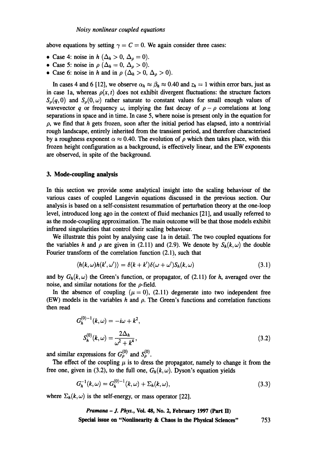above equations by setting  $\gamma = C = 0$ . We again consider three cases:

- Case 4: noise in  $h$  ( $\Delta_h > 0$ ,  $\Delta_p = 0$ ).
- Case 5: noise in  $\rho$  ( $\Delta_h = 0$ ,  $\Delta_{\rho} > 0$ ).
- Case 6: noise in h and in  $\rho$  ( $\Delta_h > 0$ ,  $\Delta_o > 0$ ).

In cases 4 and 6 [12], we observe  $\alpha_h \approx \beta_h \approx 0.40$  and  $z_h = 1$  within error bars, just as in case 1a, whereas  $\rho(x, t)$  does not exhibit divergent fluctuations: the structure factors  $S_o(q,0)$  and  $S_o(0,\omega)$  rather saturate to constant values for small enough values of wavevector q or frequency  $\omega$ , implying the fast decay of  $\rho - \rho$  correlations at long separations in space and in time. In case 5, where noise is present only in the equation for  $\rho$ , we find that h gets frozen, soon after the initial period has elapsed, into a nontrivial rough landscape, entirely inherited from the transient period, and therefore characterised by a roughness exponent  $\alpha \approx 0.40$ . The evolution of  $\rho$  which then takes place, with this frozen height configuration as a background, is effectively linear, and the EW exponents are observed, in spite of the background.

## **3. Mode-coupling analysis**

In this section we provide some analytical insight into the scaling behaviour of the various cases of coupled Langevin equations discussed in the previous section. Our analysis is based on a self-consistent resummation of perturbation theory at the one-loop level, introduced long ago in the context of fluid mechanics [21], and usually referred to as the mode-coupling approximation. The main outcome will be that those models exhibit infrared singularities that control their scaling behaviour.

We illustrate this point by analysing case la in detail. The two coupled equations for the variables h and  $\rho$  are given in (2.11) and (2.9). We denote by  $S_h(k,\omega)$  the double Fourier transform of the correlation function (2.1), such that

$$
\langle h(k,\omega)h(k',\omega')\rangle = \delta(k+k')\delta(\omega+\omega')S_h(k,\omega)
$$
\n(3.1)

and by  $G_h(k,\omega)$  the Green's function, or propagator, of (2.11) for h, averaged over the noise, and similar notations for the  $\rho$ -field.

In the absence of coupling  $(\mu = 0)$ , (2.11) degenerate into two independent free (EW) models in the variables h and  $\rho$ . The Green's functions and correlation functions then read

$$
G_h^{(0)-1}(k,\omega) = -i\omega + k^2,
$$
  

$$
S_h^{(0)}(k,\omega) = \frac{2\Delta_h}{\omega^2 + k^4},
$$
 (3.2)

and similar expressions for  $G_{\rho}^{(0)}$  and  $S_{\rho}^{(0)}$ .

The effect of the coupling  $\mu$  is to dress the propagator, namely to change it from the free one, given in (3.2), to the full one,  $G_h(k,\omega)$ . Dyson's equation yields

$$
G_h^{-1}(k,\omega) = G_h^{(0)-1}(k,\omega) + \Sigma_h(k,\omega),
$$
\n(3.3)

where  $\Sigma_h(k,\omega)$  is the self-energy, or mass operator [22].

*Pramana - J. Phys.,* **Vol. 48, No. 2, February 1997 (Part ll) Special issue on "Nonlinearity & Chaos in the Physical Sciences"** 753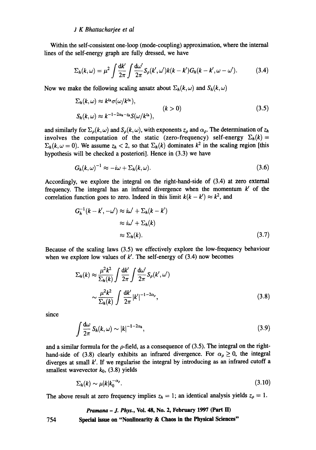Within the self-consistent one-loop (mode-coupling) approximation, where the internal lines of the self-energy graph are fully dressed, we have

$$
\Sigma_h(k,\omega) = \mu^2 \int \frac{\mathrm{d}k'}{2\pi} \int \frac{\mathrm{d}\omega'}{2\pi} S_\rho(k',\omega') k(k-k') G_h(k-k',\omega-\omega'). \tag{3.4}
$$

Now we make the following scaling ansatz about  $\Sigma_h(k,\omega)$  and  $S_h(k,\omega)$ 

$$
\Sigma_h(k,\omega) \approx k^{z_h} \sigma(\omega/k^{z_h}),
$$
\n
$$
S_h(k,\omega) \approx k^{-1-2\alpha_h-z_h} S(\omega/k^{z_h}),
$$
\n
$$
(k>0)
$$
\n
$$
(3.5)
$$

and similarly for  $\Sigma_o(k, \omega)$  and  $S_o(k, \omega)$ , with exponents  $z_o$  and  $\alpha_o$ . The determination of  $z_h$ involves the computation of the static (zero-frequency) self-energy  $\Sigma_h(k)$  =  $\Sigma_h(k,\omega = 0)$ . We assume  $z_h < 2$ , so that  $\Sigma_h(k)$  dominates  $k^2$  in the scaling region [this hypothesis will be checked a posteriori]. Hence in (3.3) we have

$$
G_h(k,\omega)^{-1} \approx -i\omega + \Sigma_h(k,\omega). \tag{3.6}
$$

Accordingly, we explore the integral on the right-hand-side of (3.4) at zero external frequency. The integral has an infrared divergence when the momentum  $k'$  of the correlation function goes to zero. Indeed in this limit  $k(k - k') \approx k^2$ , and

$$
G_h^{-1}(k - k', -\omega') \approx i\omega' + \Sigma_h(k - k')
$$
  
\n
$$
\approx i\omega' + \Sigma_h(k)
$$
  
\n
$$
\approx \Sigma_h(k). \tag{3.7}
$$

Because of the scaling laws (3.5) we effectively explore the low-frequency behaviour when we explore low values of  $k'$ . The self-energy of (3.4) now becomes

$$
\Sigma_h(k) \approx \frac{\mu^2 k^2}{\Sigma_h(k)} \int \frac{dk'}{2\pi} \int \frac{d\omega'}{2\pi} S_\rho(k', \omega')
$$

$$
\sim \frac{\mu^2 k^2}{\Sigma_h(k)} \int \frac{dk'}{2\pi} |k'|^{-1-2\alpha_\rho},
$$
(3.8)

since

$$
\int \frac{d\omega}{2\pi} S_h(k,\omega) \sim |k|^{-1-2\alpha_h},\tag{3.9}
$$

and a similar formula for the  $\rho$ -field, as a consequence of (3.5). The integral on the righthand-side of (3.8) clearly exhibits an infrared divergence. For  $\alpha_{\rho} \ge 0$ , the integral diverges at small  $k'$ . If we regularise the integral by introducing as an infrared cutoff a smallest wavevector  $k_0$ , (3.8) yields

$$
\Sigma_h(k) \sim \mu |k| k_0^{-\alpha_\rho}.\tag{3.10}
$$

The above result at zero frequency implies  $z_h = 1$ ; an identical analysis yields  $z_\rho = 1$ .

#### *Pramana - J. Phys.,* **Vol. 48, No. 2, February 1997 (Part ID**

754 **Special issue on "Nonlinearity & Chaos in the Physical Sciences"**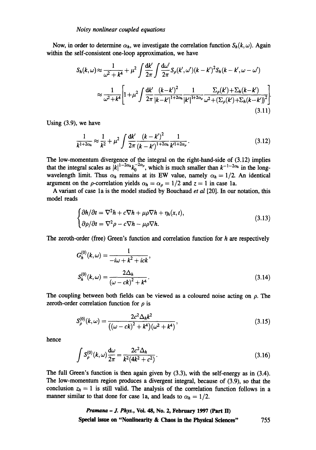Now, in order to determine  $\alpha_h$ , we investigate the correlation function  $S_h(k,\omega)$ . Again within the self-consistent one-loop approximation, we have

$$
S_h(k,\omega) \approx \frac{1}{\omega^2 + k^4} + \mu^2 \int \frac{dk'}{2\pi} \int \frac{d\omega'}{2\pi} S_\rho(k',\omega') (k-k')^2 S_h(k-k',\omega-\omega')
$$
  

$$
\approx \frac{1}{\omega^2 + k^4} \Biggl[ 1 + \mu^2 \int \frac{dk'}{2\pi} \frac{(k-k')^2}{|k-k'|^{1+2\alpha_h}} \frac{1}{|k'|^{1+2\alpha_\rho}} \frac{\sum_\rho(k') + \sum_h(k-k')}{\omega^2 + (\sum_\rho(k') + \sum_h(k-k'))^2} \Biggr].
$$
(3.11)

Using (3.9), we have

$$
\frac{1}{k^{1+2\alpha_h}} \approx \frac{1}{k^2} + \mu^2 \int \frac{\mathrm{d}k'}{2\pi} \frac{(k-k')^2}{(k-k')^{1+2\alpha_h}} \frac{1}{k'^{1+2\alpha_\rho}}. \tag{3.12}
$$

The low-momentum divergence of the integral on the fight-hand-side of (3.12) implies that the integral scales as  $|k|^{1-2a}k_0^{a}$ , which is much smaller than  $k^{-1-2a}$  in the longwavelength limit. Thus  $\alpha_h$  remains at its EW value, namely  $\alpha_h = 1/2$ . An identical argument on the  $\rho$ -correlation yields  $\alpha_h = \alpha_\rho = 1/2$  and  $z = 1$  in case 1a.

A variant of case la is the model studied by Bouchaud *et al* [20]. In our notation, this model reads

$$
\begin{cases} \partial h/\partial t = \nabla^2 h + c \nabla h + \mu \rho \nabla h + \eta_h(x, t), \\ \partial \rho/\partial t = \nabla^2 \rho - c \nabla h - \mu \rho \nabla h. \end{cases}
$$
(3.13)

The zeroth-order (free) Green's function and correlation function for h are respectively

$$
G_h^{(0)}(k,\omega) = \frac{1}{-i\omega + k^2 + ick},
$$
  

$$
S_h^{(0)}(k,\omega) = \frac{2\Delta_h}{(\omega - ck)^2 + k^4}.
$$
 (3.14)

The coupling between both fields can be viewed as a coloured noise acting on  $\rho$ . The zeroth-order correlation function for  $\rho$  is

$$
S_{\rho}^{(0)}(k,\omega) = \frac{2c^2 \Delta_h k^2}{\left((\omega - ck)^2 + k^4\right)(\omega^2 + k^4)},\tag{3.15}
$$

hence

$$
\int S_{\rho}^{(0)}(k,\omega)\frac{d\omega}{2\pi} = \frac{2c^2\Delta_h}{k^2(4k^2+c^2)}.
$$
\n(3.16)

The full Green's function is then again given by (3.3), with the self-energy as in (3.4). The low-momentum region produces a divergent integral, because of (3.9), so that the conclusion  $z_h = 1$  is still valid. The analysis of the correlation function follows in a manner similar to that done for case 1a, and leads to  $\alpha_h = 1/2$ .

> *Pramana - J. Phys.*, Vol. 48, No. 2, February 1997 (Part II) **Special issue on "Nonlinearity & Chaos in the Physical Sciences"** 755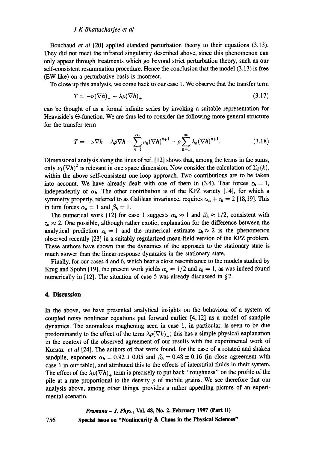Bouchaud *et al* [20] applied standard perturbation theory to their equations (3.13). They did not meet the infrared singularity described above, since this phenomenon can only appear through treatments which go beyond strict perturbation theory, such as our self-consistent resummation procedure. Hence the conclusion that the model (3.13) is free (EW-like) on a perturbative basis is incorrect.

To close up this analysis, we come back to our case 1. We observe that the transfer term

$$
T = -\nu(\nabla h) - \lambda \rho(\nabla h)_{+} \tag{3.17}
$$

can be thought of as a formal infinite series by invoking a suitable representation for Heaviside's  $\Theta$ -function. We are thus led to consider the following more general structure for the transfer term

$$
T = -\nu \nabla h - \lambda \rho \nabla h - \sum_{n=1}^{\infty} \nu_n (\nabla h)^{n+1} - \rho \sum_{n=1}^{\infty} \lambda_n (\nabla h)^{n+1}.
$$
 (3.18)

Dimensional analysis'along the lines of ref. [12] shows that, among the terms in the sums, only  $\nu_1 (\nabla h)^2$  is relevant in one space dimension. Now consider the calculation of  $\Sigma_h(k)$ , within the above self-consistent one-loop approach. Two contributions are to be taken into account. We have already dealt with one of them in (3.4). That forces  $z_h = 1$ , independently of  $\alpha_h$ . The other contribution is of the KPZ variety [14], for which a symmetry property, referred to as Galilean invariance, requires  $\alpha_h + z_h = 2$  [18,19]. This in turn forces  $\alpha_h = 1$  and  $\beta_h = 1$ .

The numerical work [12] for case 1 suggests  $\alpha_h \approx 1$  and  $\beta_h \approx 1/2$ , consistent with  $z_h \approx 2$ . One possible, although rather exotic, explanation for the difference between the analytical prediction  $z_h = 1$  and the numerical estimate  $z_h \approx 2$  is the phenomenon observed recently [23] in a suitably regularized mean-field version of the KPZ problem. These authors have shown that the dynamics of the approach to the stationary state is much slower than the linear-response dynamics in the stationary state.

Finally, for our cases 4 and 6, which bear a close resemblance to the models studied by Krug and Spohn [19], the present work yields  $\alpha_{\rho} = 1/2$  and  $z_h = 1$ , as was indeed found numerically in [12]. The situation of case 5 was already discussed in §2.

## **4. Discussion**

In the above, we have presented analytical insights on the behaviour of a system of coupled noisy nonlinear equations put forward earlier [4, 12] as a model of sandpile dynamics. The anomalous roughening seen in case 1, in particular, is seen to be due predominantly to the effect of the term  $\lambda \rho(\nabla h)_+$ ; this has a simple physical explanation in the context of the observed agreement of our results with the experimental work of *Kurnaz et al* [24]. The authors of that work found, for the case of a rotated and shaken sandpile, exponents  $\alpha_h = 0.92 \pm 0.05$  and  $\beta_h = 0.48 \pm 0.16$  (in close agreement with case 1 in our table), and attributed this to the effects of interstitial fluids in their system. The effect of the  $\lambda \rho (\nabla h)_+$  term is precisely to put back "roughness" on the profile of the pile at a rate proportional to the density  $\rho$  of mobile grains. We see therefore that our analysis above, among other things, provides a rather appealing picture of an experimental scenario.

> *Pramana - .I. Phys.,* **Vol. 48, No. 2, February 1997 (Part II) Special issue on "Nonlinearity & Chaos in the Physical Sciences"**

756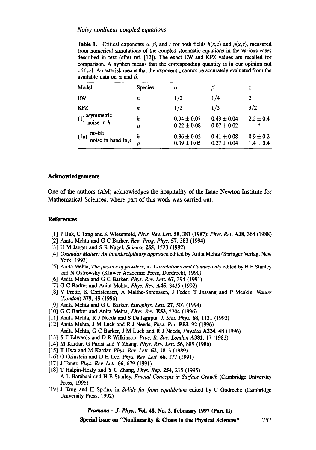**Table 1.** Critical exponents  $\alpha$ ,  $\beta$ , and z for both fields  $h(x, t)$  and  $\rho(x, t)$ , measured from numerical simulations of the coupled stochastic equations in the various cases described in text (after ref. [12]). The exact EW and KFZ values are recalled for comparison. A hyphen means that the corresponding quantity is in our opinion not critical. An asterisk means that the exponent  $z$  cannot be accurately evaluated from the available data on  $\alpha$  and  $\beta$ .

| Model                                      | <b>Species</b> | $\alpha$                           |                                    | z                              |
|--------------------------------------------|----------------|------------------------------------|------------------------------------|--------------------------------|
| EW                                         | h              | 1/2                                | 1/4                                |                                |
| <b>KPZ</b>                                 | h              | 1/2                                | 1/3                                | 3/2                            |
| asymmetric<br>(1)<br>noise in $h$          | h<br>μ         | $0.94 \pm 0.07$<br>$0.22 \pm 0.08$ | $0.43 \pm 0.04$<br>$0.07 \pm 0.02$ | $2.2 \pm 0.4$<br>$\ast$        |
| no-tilt<br>(1a)<br>noise in hand in $\rho$ | h              | $0.36 \pm 0.02$<br>$0.39 \pm 0.05$ | $0.41 \pm 0.08$<br>$0.27 \pm 0.04$ | $0.9 \pm 0.2$<br>$1.4 \pm 0.4$ |

# **Acknowledgements**

One of the authors (AM) acknowledges the hospitality of the Isaac Newton Institute for Mathematical Sciences, where part of this work was carried out.

### **References**

- [1] P Bak, C Tang and K Wiesenfeld, *Phys. Rev. Lett.* 59, 381 (1987); *Phys. Rev.* A38, 364 (1988)
- [2] Anita Mehta and G C Barker, *Rep. Prog. Phys.* 57, 383 (1994)
- [3] H M Jaeger and S R Nagel, *Science* 255, 1523 (1992)
- [4] *Granular Matter: An interdisciplinary approach* edited by Anita Mehta (Springer Verlag, New York, 1993)
- [5] Anita Mehta, The *physics ofpowders,* in *Correlations and Connectivity* edited by H E Stanley and N Ostrowsky (Kluwer Academic Press, Dordrecht, 1990)
- [6] Anita Mehta and G C Barker, *Phys. Rev. Lett.* 67, 394 (1991)
- [7] G C Barker and Anita Mehta, *Phys. Rev.* A45, 3435 (1992)
- [8] V Frette, K Christensen, A Malthe-Sørenssen, J Feder, T Jøssang and P Meakin, *Nature (London)* 379, 49 (1996)
- [9] Anita Mehta and G C Barker, *Europhys. Lett.* 27, 501 (1994)
- [10] G C Barker and Anita Mehta, *Phys. Rev.* E53, 5704 (1996)
- [11] Anita Mehta, R J Needs and S Dattagupta, J. *Star. Phys. 68,* 1131 (1992)
- [12] Anita Mehta, J M Luck and R J Needs, *Phys. Rev.* E53, 92 (1996) Anita Mehta, G C Barker, J M Luck and R J Needs, *Physica A224,* 48 (1996)
- [13] S F Edwards and D R Wilkinson, *Proc. R. Soc. London* A381, 17 (1982)
- [14] M Kardar, G Parisi and Y Zhang, *Phys. Rev. Lett.* 56, 889 (1986)
- [15] T Hwa and M Kardar, *Phys. Rev. Lett.* 62, 1813 (1989)
- [16] G Grinstein and D H Lee, *Phys. Rev. Lett. 66,* 177 (1991)
- [17] J Toner, *Phys. Rev. Lett. 66,* 679 (1991)
- [18] T Halpin-Healy and Y C Zhang, *Phys. Rep.* 254, 215 (1995) A L Bar~ibasi and H E Stanley, *Fractal Concepts in Surface Growth* (Cambridge University Press, 1995)
- [19] J Krug and H Spohn, in *Solids far from equilibrium* edited by C Godfeche (Cambridge University Press, 1992)

*Pramana - J. Phys.,* **Vol. 48, No. 2, February 1997 (Part ID** 

**Special issue on "Nonlinearity & Chaos in the Physical Sciences"** 757